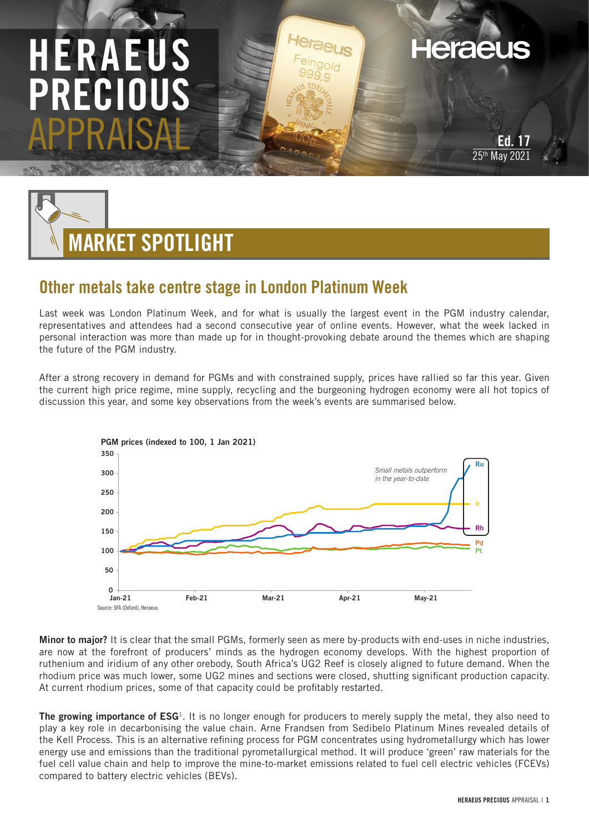# HERAEUS **FC** APPRAISAL

**Heraeus** 



# Other metals take centre stage in London Platinum Week

Last week was London Platinum Week, and for what is usually the largest event in the PGM industry calendar, representatives and attendees had a second consecutive year of online events. However, what the week lacked in personal interaction was more than made up for in thought-provoking debate around the themes which are shaping the future of the PGM industry.

After a strong recovery in demand for PGMs and with constrained supply, prices have rallied so far this year. Given the current high price regime, mine supply, recycling and the burgeoning hydrogen economy were all hot topics of discussion this year, and some key observations from the week's events are summarised below.



Minor to major? It is clear that the small PGMs, formerly seen as mere by-products with end-uses in niche industries, are now at the forefront of producers' minds as the hydrogen economy develops. With the highest proportion of ruthenium and iridium of any other orebody, South Africa's UG2 Reef is closely aligned to future demand. When the rhodium price was much lower, some UG2 mines and sections were closed, shutting significant production capacity. At current rhodium prices, some of that capacity could be profitably restarted.

**The growing importance of ESG**<sup>1</sup>. It is no longer enough for producers to merely supply the metal, they also need to play a key role in decarbonising the value chain. Arne Frandsen from Sedibelo Platinum Mines revealed details of the Kell Process. This is an alternative refining process for PGM concentrates using hydrometallurgy which has lower energy use and emissions than the traditional pyrometallurgical method. It will produce 'green' raw materials for the fuel cell value chain and help to improve the mine-to-market emissions related to fuel cell electric vehicles (FCEVs) compared to battery electric vehicles (BEVs).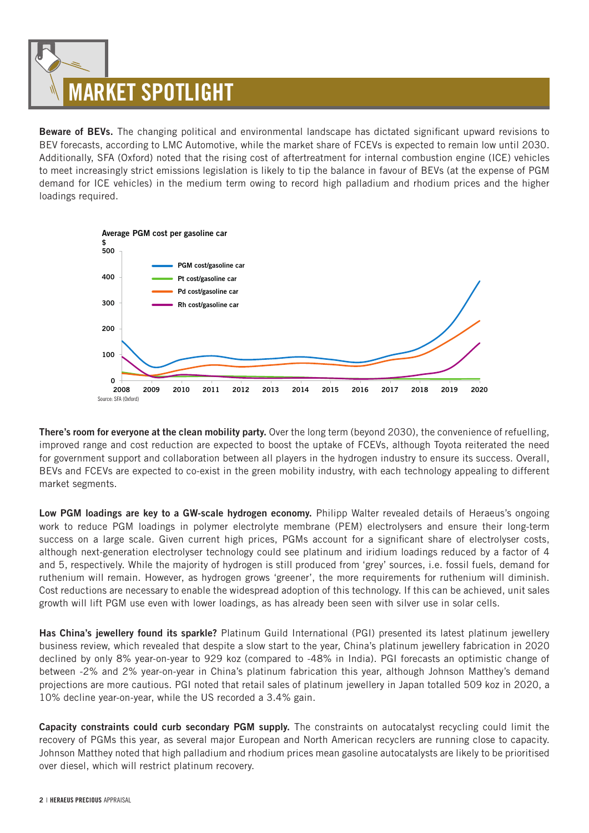# MARKET SPOTLIGHT

Beware of BEVs. The changing political and environmental landscape has dictated significant upward revisions to BEV forecasts, according to LMC Automotive, while the market share of FCEVs is expected to remain low until 2030. Additionally, SFA (Oxford) noted that the rising cost of aftertreatment for internal combustion engine (ICE) vehicles to meet increasingly strict emissions legislation is likely to tip the balance in favour of BEVs (at the expense of PGM demand for ICE vehicles) in the medium term owing to record high palladium and rhodium prices and the higher loadings required.



There's room for everyone at the clean mobility party. Over the long term (beyond 2030), the convenience of refuelling, improved range and cost reduction are expected to boost the uptake of FCEVs, although Toyota reiterated the need for government support and collaboration between all players in the hydrogen industry to ensure its success. Overall, BEVs and FCEVs are expected to co-exist in the green mobility industry, with each technology appealing to different market segments.

Low PGM loadings are key to a GW-scale hydrogen economy. Philipp Walter revealed details of Heraeus's ongoing work to reduce PGM loadings in polymer electrolyte membrane (PEM) electrolysers and ensure their long-term success on a large scale. Given current high prices, PGMs account for a significant share of electrolyser costs, although next-generation electrolyser technology could see platinum and iridium loadings reduced by a factor of 4 and 5, respectively. While the majority of hydrogen is still produced from 'grey' sources, i.e. fossil fuels, demand for ruthenium will remain. However, as hydrogen grows 'greener', the more requirements for ruthenium will diminish. Cost reductions are necessary to enable the widespread adoption of this technology. If this can be achieved, unit sales growth will lift PGM use even with lower loadings, as has already been seen with silver use in solar cells.

Has China's jewellery found its sparkle? Platinum Guild International (PGI) presented its latest platinum jewellery business review, which revealed that despite a slow start to the year, China's platinum jewellery fabrication in 2020 declined by only 8% year-on-year to 929 koz (compared to -48% in India). PGI forecasts an optimistic change of between -2% and 2% year-on-year in China's platinum fabrication this year, although Johnson Matthey's demand projections are more cautious. PGI noted that retail sales of platinum jewellery in Japan totalled 509 koz in 2020, a 10% decline year-on-year, while the US recorded a 3.4% gain.

Capacity constraints could curb secondary PGM supply. The constraints on autocatalyst recycling could limit the recovery of PGMs this year, as several major European and North American recyclers are running close to capacity. Johnson Matthey noted that high palladium and rhodium prices mean gasoline autocatalysts are likely to be prioritised over diesel, which will restrict platinum recovery.